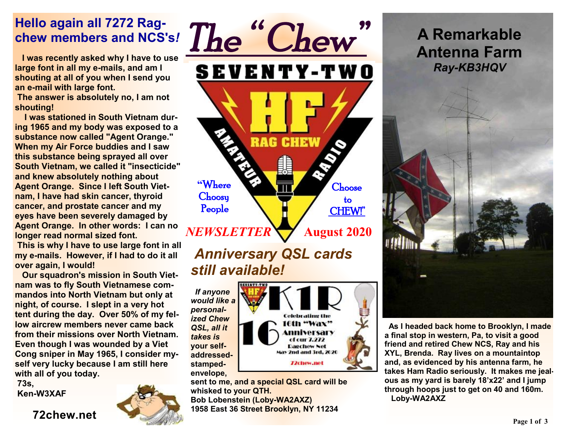#### **Hello again all 7272 Ragchew members and NCS's***!*

 **I was recently asked why I have to use large font in all my e-mails, and am I shouting at all of you when I send you an e-mail with large font.** 

**The answer is absolutely no, I am not shouting!** 

 **I was stationed in South Vietnam during 1965 and my body was exposed to a substance now called "Agent Orange." When my Air Force buddies and I saw this substance being sprayed all over South Vietnam, we called it "insecticide" and knew absolutely nothing about Agent Orange. Since I left South Vietnam, I have had skin cancer, thyroid cancer, and prostate cancer and my eyes have been severely damaged by Agent Orange. In other words: I can no longer read normal sized font.** 

**This is why I have to use large font in all my e-mails. However, if I had to do it all over again, I would!** 

 **Our squadron's mission in South Vietnam was to fly South Vietnamese commandos into North Vietnam but only at night, of course. I slept in a very hot tent during the day. Over 50% of my fellow aircrew members never came back from their missions over North Vietnam. Even though I was wounded by a Viet Cong sniper in May 1965, I consider myself very lucky because I am still here with all of you today.** 

**73s, Ken-W3XAF** 

**72chew.net**





**Celebrating the** 6th "Wax" mniversary cf cur 7.272 **Dagchew Net** May 2nd and 3rd, 2020 **T2chew.net** 

*If anyone would like a personalized Chew QSL, all it takes is*  **your self-**

**addressedstampedenvelope,** 

**sent to me, and a special QSL card will be** 

**whisked to your QTH. Bob Lobenstein (Loby-WA2AXZ)** 

**1958 East 36 Street Brooklyn, NY 11234**

**A Remarkable Antenna Farm**  *Ray-KB3HQV* 



**As I headed back home to Brooklyn, I made a final stop in western, Pa, to visit a good friend and retired Chew NCS, Ray and his XYL, Brenda. Ray lives on a mountaintop and, as evidenced by his antenna farm, he takes Ham Radio seriously. It makes me jealous as my yard is barely 18'x22' and I jump through hoops just to get on 40 and 160m. Loby-WA2AXZ**

**Page 1 of 3**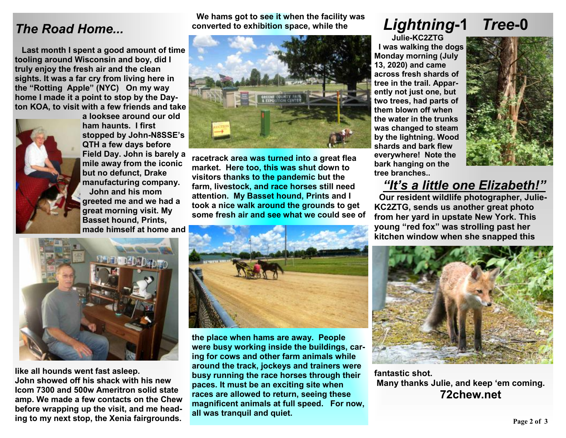#### *The Road Home...*

 **Last month I spent a good amount of time tooling around Wisconsin and boy, did I truly enjoy the fresh air and the clean sights. It was a far cry from living here in the "Rotting Apple" (NYC) On my way home I made it a point to stop by the Dayton KOA, to visit with a few friends and take** 



**a looksee around our old ham haunts. I first stopped by John-N8SSE's QTH a few days before Field Day. John is barely a mile away from the iconic but no defunct, Drake manufacturing company. John and his mom greeted me and we had a great morning visit. My Basset hound, Prints, made himself at home and** 



 **We hams got to see it when the facility was** 

**racetrack area was turned into a great flea market. Here too, this was shut down to visitors thanks to the pandemic but the farm, livestock, and race horses still need attention. My Basset hound, Prints and I took a nice walk around the grounds to get some fresh air and see what we could see of** 



**like all hounds went fast asleep. John showed off his shack with his new Icom 7300 and 500w Ameritron solid state amp. We made a few contacts on the Chew before wrapping up the visit, and me heading to my next stop, the Xenia fairgrounds.** 



**the place when hams are away. People were busy working inside the buildings, caring for cows and other farm animals while around the track, jockeys and trainers were busy running the race horses through their paces. It must be an exciting site when races are allowed to return, seeing these magnificent animals at full speed. For now, all was tranquil and quiet.**

# *Lightning***-1** *Tree***-0**

 **Julie-KC2ZTG I was walking the dogs Monday morning (July 13, 2020) and came across fresh shards of tree in the trail. Apparently not just one, but two trees, had parts of them blown off when the water in the trunks was changed to steam by the lightning. Wood shards and bark flew everywhere! Note the bark hanging on the tree branches..** 



#### *"It's a little one Elizabeth!"*

 **Our resident wildlife photographer, Julie-KC2ZTG, sends us another great photo from her yard in upstate New York. This young "red fox" was strolling past her kitchen window when she snapped this** 



**fantastic shot. Many thanks Julie, and keep 'em coming. 72chew.net**